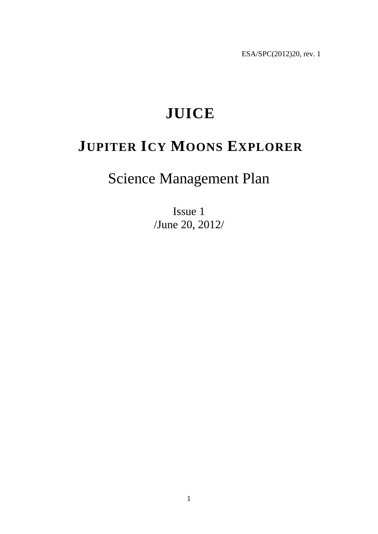ESA/SPC(2012)20, rev. 1

# **JUICE**

# **JUPITER ICY MOONS EXPLORER**

# Science Management Plan

Issue 1 /June 20, 2012/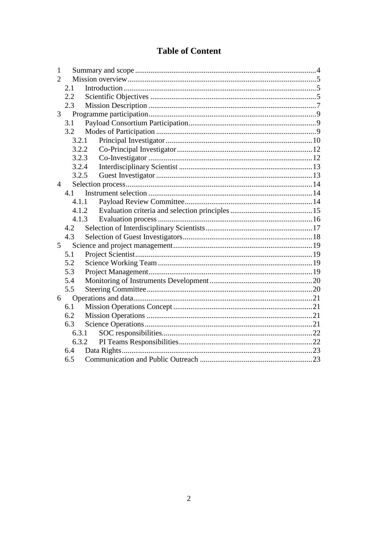## **Table of Content**

| 1              |       |       |  |  |  |  |  |
|----------------|-------|-------|--|--|--|--|--|
| $\overline{2}$ |       |       |  |  |  |  |  |
|                | 2.1   |       |  |  |  |  |  |
|                | 2.2   |       |  |  |  |  |  |
|                | 2.3   |       |  |  |  |  |  |
| 3              |       |       |  |  |  |  |  |
|                | 3.1   |       |  |  |  |  |  |
|                |       |       |  |  |  |  |  |
|                | 3.2.1 |       |  |  |  |  |  |
|                | 3.2.2 |       |  |  |  |  |  |
|                | 3.2.3 |       |  |  |  |  |  |
|                | 3.2.4 |       |  |  |  |  |  |
|                | 3.2.5 |       |  |  |  |  |  |
| $\overline{4}$ |       |       |  |  |  |  |  |
|                | 4.1   |       |  |  |  |  |  |
|                | 4.1.1 |       |  |  |  |  |  |
|                |       | 4.1.2 |  |  |  |  |  |
|                |       | 4.1.3 |  |  |  |  |  |
|                | 4.2   |       |  |  |  |  |  |
|                | 4.3   |       |  |  |  |  |  |
| 5              |       |       |  |  |  |  |  |
| 5.1            |       |       |  |  |  |  |  |
|                | 5.2   |       |  |  |  |  |  |
|                | 5.3   |       |  |  |  |  |  |
|                | 5.4   |       |  |  |  |  |  |
|                | 5.5   |       |  |  |  |  |  |
| 6              |       |       |  |  |  |  |  |
|                | 6.1   |       |  |  |  |  |  |
|                | 6.2   |       |  |  |  |  |  |
|                | 6.3   |       |  |  |  |  |  |
|                | 6.3.1 |       |  |  |  |  |  |
|                | 6.3.2 |       |  |  |  |  |  |
|                | 6.4   |       |  |  |  |  |  |
|                | 6.5   |       |  |  |  |  |  |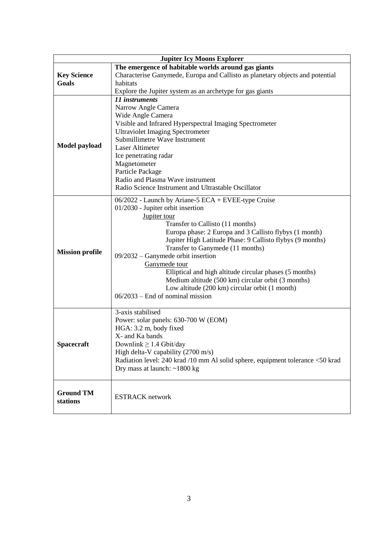| <b>Jupiter Icy Moons Explorer</b>                   |                                                                                |  |  |  |  |  |  |
|-----------------------------------------------------|--------------------------------------------------------------------------------|--|--|--|--|--|--|
| The emergence of habitable worlds around gas giants |                                                                                |  |  |  |  |  |  |
| <b>Key Science</b>                                  | Characterise Ganymede, Europa and Callisto as planetary objects and potential  |  |  |  |  |  |  |
| Goals                                               | habitats                                                                       |  |  |  |  |  |  |
|                                                     | Explore the Jupiter system as an archetype for gas giants                      |  |  |  |  |  |  |
|                                                     | 11 instruments                                                                 |  |  |  |  |  |  |
|                                                     | Narrow Angle Camera                                                            |  |  |  |  |  |  |
|                                                     | Wide Angle Camera                                                              |  |  |  |  |  |  |
|                                                     | Visible and Infrared Hyperspectral Imaging Spectrometer                        |  |  |  |  |  |  |
|                                                     | <b>Ultraviolet Imaging Spectrometer</b>                                        |  |  |  |  |  |  |
|                                                     | Submillimetre Wave Instrument                                                  |  |  |  |  |  |  |
| Model payload                                       | <b>Laser Altimeter</b>                                                         |  |  |  |  |  |  |
|                                                     | Ice penetrating radar                                                          |  |  |  |  |  |  |
|                                                     | Magnetometer                                                                   |  |  |  |  |  |  |
|                                                     | Particle Package                                                               |  |  |  |  |  |  |
|                                                     | Radio and Plasma Wave instrument                                               |  |  |  |  |  |  |
|                                                     | Radio Science Instrument and Ultrastable Oscillator                            |  |  |  |  |  |  |
|                                                     |                                                                                |  |  |  |  |  |  |
|                                                     | 06/2022 - Launch by Ariane-5 ECA + EVEE-type Cruise                            |  |  |  |  |  |  |
|                                                     | 01/2030 - Jupiter orbit insertion                                              |  |  |  |  |  |  |
|                                                     | Jupiter tour                                                                   |  |  |  |  |  |  |
|                                                     | Transfer to Callisto (11 months)                                               |  |  |  |  |  |  |
|                                                     | Europa phase: 2 Europa and 3 Callisto flybys (1 month)                         |  |  |  |  |  |  |
|                                                     | Jupiter High Latitude Phase: 9 Callisto flybys (9 months)                      |  |  |  |  |  |  |
| <b>Mission profile</b>                              | Transfer to Ganymede (11 months)                                               |  |  |  |  |  |  |
|                                                     | 09/2032 - Ganymede orbit insertion                                             |  |  |  |  |  |  |
|                                                     | Ganymede tour                                                                  |  |  |  |  |  |  |
|                                                     | Elliptical and high altitude circular phases (5 months)                        |  |  |  |  |  |  |
|                                                     | Medium altitude (500 km) circular orbit (3 months)                             |  |  |  |  |  |  |
|                                                     | Low altitude (200 km) circular orbit (1 month)                                 |  |  |  |  |  |  |
|                                                     | $06/2033$ – End of nominal mission                                             |  |  |  |  |  |  |
|                                                     |                                                                                |  |  |  |  |  |  |
|                                                     | 3-axis stabilised                                                              |  |  |  |  |  |  |
|                                                     | Power: solar panels: 630-700 W (EOM)                                           |  |  |  |  |  |  |
|                                                     | HGA: 3.2 m, body fixed                                                         |  |  |  |  |  |  |
|                                                     | X- and Ka bands                                                                |  |  |  |  |  |  |
| <b>Spacecraft</b>                                   | Downlink $\geq$ 1.4 Gbit/day                                                   |  |  |  |  |  |  |
|                                                     | High delta-V capability (2700 m/s)                                             |  |  |  |  |  |  |
|                                                     | Radiation level: 240 krad /10 mm Al solid sphere, equipment tolerance <50 krad |  |  |  |  |  |  |
|                                                     | Dry mass at launch: $~1800 \text{ kg}$                                         |  |  |  |  |  |  |
|                                                     |                                                                                |  |  |  |  |  |  |
| <b>Ground TM</b>                                    |                                                                                |  |  |  |  |  |  |
| stations                                            | <b>ESTRACK</b> network                                                         |  |  |  |  |  |  |
|                                                     |                                                                                |  |  |  |  |  |  |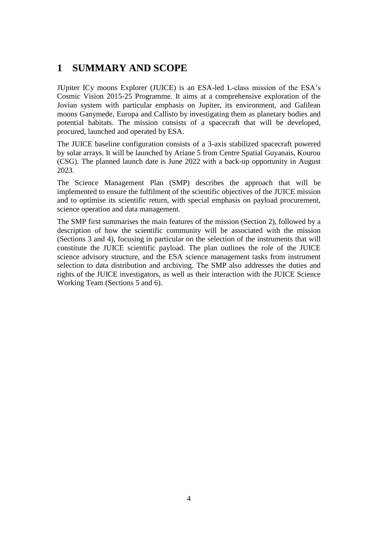## <span id="page-3-0"></span>**1 SUMMARY AND SCOPE**

JUpiter ICy moons Explorer (JUICE) is an ESA-led L-class mission of the ESA's Cosmic Vision 2015-25 Programme. It aims at a comprehensive exploration of the Jovian system with particular emphasis on Jupiter, its environment, and Galilean moons Ganymede, Europa and Callisto by investigating them as planetary bodies and potential habitats. The mission consists of a spacecraft that will be developed, procured, launched and operated by ESA.

The JUICE baseline configuration consists of a 3-axis stabilized spacecraft powered by solar arrays. It will be launched by Ariane 5 from Centre Spatial Guyanais, Kourou (CSG). The planned launch date is June 2022 with a back-up opportunity in August 2023.

The Science Management Plan (SMP) describes the approach that will be implemented to ensure the fulfilment of the scientific objectives of the JUICE mission and to optimise its scientific return, with special emphasis on payload procurement, science operation and data management.

The SMP first summarises the main features of the mission (Section [2\)](#page-4-0), followed by a description of how the scientific community will be associated with the mission (Sections [3](#page-8-0) and [4\)](#page-13-0), focusing in particular on the selection of the instruments that will constitute the JUICE scientific payload. The plan outlines the role of the JUICE science advisory structure, and the ESA science management tasks from instrument selection to data distribution and archiving. The SMP also addresses the duties and rights of the JUICE investigators, as well as their interaction with the JUICE Science Working Team (Sections [5](#page-18-0) and [6\)](#page-20-0).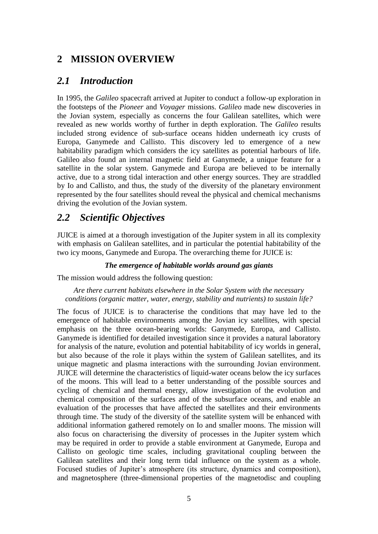# <span id="page-4-0"></span>**2 MISSION OVERVIEW**

### <span id="page-4-1"></span>*2.1 Introduction*

In 1995, the *Galileo* spacecraft arrived at Jupiter to conduct a follow-up exploration in the footsteps of the *Pioneer* and *Voyager* missions. *Galileo* made new discoveries in the Jovian system, especially as concerns the four Galilean satellites, which were revealed as new worlds worthy of further in depth exploration. The *Galileo* results included strong evidence of sub-surface oceans hidden underneath icy crusts of Europa, Ganymede and Callisto. This discovery led to emergence of a new habitability paradigm which considers the icy satellites as potential harbours of life. Galileo also found an internal magnetic field at Ganymede, a unique feature for a satellite in the solar system. Ganymede and Europa are believed to be internally active, due to a strong tidal interaction and other energy sources. They are straddled by Io and Callisto, and thus, the study of the diversity of the planetary environment represented by the four satellites should reveal the physical and chemical mechanisms driving the evolution of the Jovian system.

## <span id="page-4-2"></span>*2.2 Scientific Objectives*

JUICE is aimed at a thorough investigation of the Jupiter system in all its complexity with emphasis on Galilean satellites, and in particular the potential habitability of the two icy moons, Ganymede and Europa. The overarching theme for JUICE is:

#### *The emergence of habitable worlds around gas giants*

The mission would address the following question:

*Are there current habitats elsewhere in the Solar System with the necessary conditions (organic matter, water, energy, stability and nutrients) to sustain life?*

The focus of JUICE is to characterise the conditions that may have led to the emergence of habitable environments among the Jovian icy satellites, with special emphasis on the three ocean-bearing worlds: Ganymede, Europa, and Callisto. Ganymede is identified for detailed investigation since it provides a natural laboratory for analysis of the nature, evolution and potential habitability of icy worlds in general, but also because of the role it plays within the system of Galilean satellites, and its unique magnetic and plasma interactions with the surrounding Jovian environment. JUICE will determine the characteristics of liquid-water oceans below the icy surfaces of the moons. This will lead to a better understanding of the possible sources and cycling of chemical and thermal energy, allow investigation of the evolution and chemical composition of the surfaces and of the subsurface oceans, and enable an evaluation of the processes that have affected the satellites and their environments through time. The study of the diversity of the satellite system will be enhanced with additional information gathered remotely on Io and smaller moons. The mission will also focus on characterising the diversity of processes in the Jupiter system which may be required in order to provide a stable environment at Ganymede, Europa and Callisto on geologic time scales, including gravitational coupling between the Galilean satellites and their long term tidal influence on the system as a whole. Focused studies of Jupiter's atmosphere (its structure, dynamics and composition), and magnetosphere (three-dimensional properties of the magnetodisc and coupling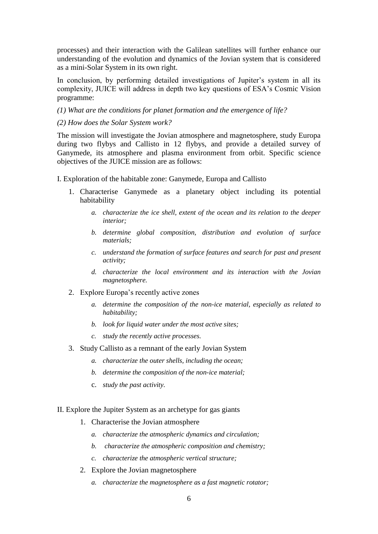processes) and their interaction with the Galilean satellites will further enhance our understanding of the evolution and dynamics of the Jovian system that is considered as a mini-Solar System in its own right.

In conclusion, by performing detailed investigations of Jupiter's system in all its complexity, JUICE will address in depth two key questions of ESA's Cosmic Vision programme:

- *(1) What are the conditions for planet formation and the emergence of life?*
- *(2) How does the Solar System work?*

The mission will investigate the Jovian atmosphere and magnetosphere, study Europa during two flybys and Callisto in 12 flybys, and provide a detailed survey of Ganymede, its atmosphere and plasma environment from orbit. Specific science objectives of the JUICE mission are as follows:

I. Exploration of the habitable zone: Ganymede, Europa and Callisto

- 1. Characterise Ganymede as a planetary object including its potential habitability
	- *a. characterize the ice shell, extent of the ocean and its relation to the deeper interior;*
	- *b. determine global composition, distribution and evolution of surface materials;*
	- *c. understand the formation of surface features and search for past and present activity;*
	- *d. characterize the local environment and its interaction with the Jovian magnetosphere.*
- 2. Explore Europa's recently active zones
	- *a. determine the composition of the non-ice material, especially as related to habitability;*
	- *b. look for liquid water under the most active sites;*
	- *c. study the recently active processes.*
- 3. Study Callisto as a remnant of the early Jovian System
	- *a. characterize the outer shells, including the ocean;*
	- *b. determine the composition of the non-ice material;*
	- c. *study the past activity.*
- II. Explore the Jupiter System as an archetype for gas giants
	- 1. Characterise the Jovian atmosphere
		- *a. characterize the atmospheric dynamics and circulation;*
		- *b. characterize the atmospheric composition and chemistry;*
		- *c. characterize the atmospheric vertical structure;*
	- 2. Explore the Jovian magnetosphere
		- *a. characterize the magnetosphere as a fast magnetic rotator;*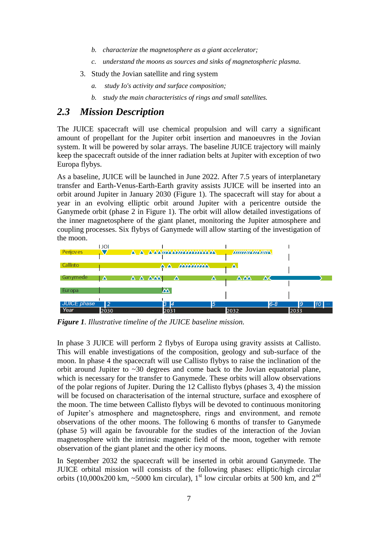- *b. characterize the magnetosphere as a giant accelerator;*
- *c. understand the moons as sources and sinks of magnetospheric plasma.*
- 3. Study the Jovian satellite and ring system
	- *a. study Io's activity and surface composition;*
	- *b. study the main characteristics of rings and small satellites.*

# <span id="page-6-0"></span>*2.3 Mission Description*

The JUICE spacecraft will use chemical propulsion and will carry a significant amount of propellant for the Jupiter orbit insertion and manoeuvres in the Jovian system. It will be powered by solar arrays. The baseline JUICE trajectory will mainly keep the spacecraft outside of the inner radiation belts at Jupiter with exception of two Europa flybys.

As a baseline, JUICE will be launched in June 2022. After 7.5 years of interplanetary transfer and Earth-Venus-Earth-Earth gravity assists JUICE will be inserted into an orbit around Jupiter in January 2030 (Figure 1). The spacecraft will stay for about a year in an evolving elliptic orbit around Jupiter with a pericentre outside the Ganymede orbit (phase 2 in Figure 1). The orbit will allow detailed investigations of the inner magnetosphere of the giant planet, monitoring the Jupiter atmosphere and coupling processes. Six flybys of Ganymede will allow starting of the investigation of the moon.



*Figure 1. Illustrative timeline of the JUICE baseline mission.* 

In phase 3 JUICE will perform 2 flybys of Europa using gravity assists at Callisto. This will enable investigations of the composition, geology and sub-surface of the moon. In phase 4 the spacecraft will use Callisto flybys to raise the inclination of the orbit around Jupiter to ~30 degrees and come back to the Jovian equatorial plane, which is necessary for the transfer to Ganymede. These orbits will allow observations of the polar regions of Jupiter. During the 12 Callisto flybys (phases 3, 4) the mission will be focused on characterisation of the internal structure, surface and exosphere of the moon. The time between Callisto flybys will be devoted to continuous monitoring of Jupiter's atmosphere and magnetosphere, rings and environment, and remote observations of the other moons. The following 6 months of transfer to Ganymede (phase 5) will again be favourable for the studies of the interaction of the Jovian magnetosphere with the intrinsic magnetic field of the moon, together with remote observation of the giant planet and the other icy moons.

In September 2032 the spacecraft will be inserted in orbit around Ganymede. The JUICE orbital mission will consists of the following phases: elliptic/high circular orbits (10,000x200 km,  $\sim$ 5000 km circular), 1<sup>st</sup> low circular orbits at 500 km, and 2<sup>nd</sup>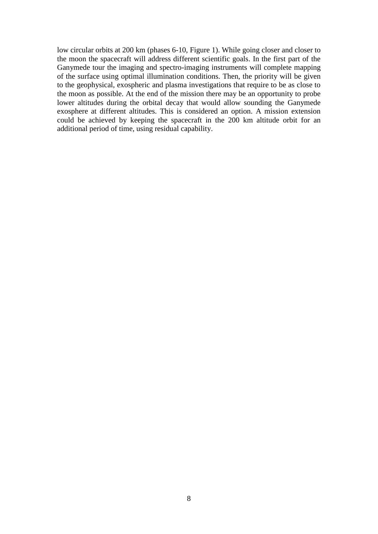low circular orbits at 200 km (phases 6-10, Figure 1). While going closer and closer to the moon the spacecraft will address different scientific goals. In the first part of the Ganymede tour the imaging and spectro-imaging instruments will complete mapping of the surface using optimal illumination conditions. Then, the priority will be given to the geophysical, exospheric and plasma investigations that require to be as close to the moon as possible. At the end of the mission there may be an opportunity to probe lower altitudes during the orbital decay that would allow sounding the Ganymede exosphere at different altitudes. This is considered an option. A mission extension could be achieved by keeping the spacecraft in the 200 km altitude orbit for an additional period of time, using residual capability.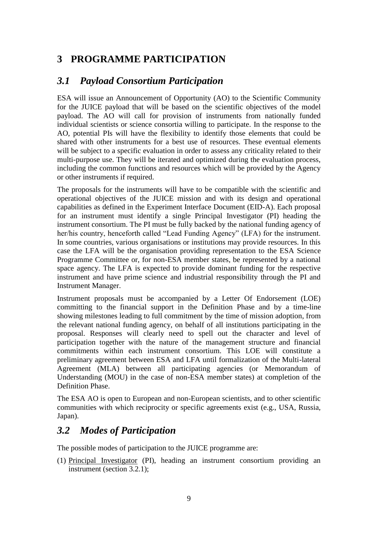# <span id="page-8-0"></span>**3 PROGRAMME PARTICIPATION**

## <span id="page-8-1"></span>*3.1 Payload Consortium Participation*

ESA will issue an Announcement of Opportunity (AO) to the Scientific Community for the JUICE payload that will be based on the scientific objectives of the model payload. The AO will call for provision of instruments from nationally funded individual scientists or science consortia willing to participate. In the response to the AO, potential PIs will have the flexibility to identify those elements that could be shared with other instruments for a best use of resources. These eventual elements will be subject to a specific evaluation in order to assess any criticality related to their multi-purpose use. They will be iterated and optimized during the evaluation process, including the common functions and resources which will be provided by the Agency or other instruments if required.

The proposals for the instruments will have to be compatible with the scientific and operational objectives of the JUICE mission and with its design and operational capabilities as defined in the Experiment Interface Document (EID-A). Each proposal for an instrument must identify a single Principal Investigator (PI) heading the instrument consortium. The PI must be fully backed by the national funding agency of her/his country, henceforth called "Lead Funding Agency" (LFA) for the instrument. In some countries, various organisations or institutions may provide resources. In this case the LFA will be the organisation providing representation to the ESA Science Programme Committee or, for non-ESA member states, be represented by a national space agency. The LFA is expected to provide dominant funding for the respective instrument and have prime science and industrial responsibility through the PI and Instrument Manager.

Instrument proposals must be accompanied by a Letter Of Endorsement (LOE) committing to the financial support in the Definition Phase and by a time-line showing milestones leading to full commitment by the time of mission adoption, from the relevant national funding agency, on behalf of all institutions participating in the proposal. Responses will clearly need to spell out the character and level of participation together with the nature of the management structure and financial commitments within each instrument consortium. This LOE will constitute a preliminary agreement between ESA and LFA until formalization of the Multi-lateral Agreement (MLA) between all participating agencies (or Memorandum of Understanding (MOU) in the case of non-ESA member states) at completion of the Definition Phase.

The ESA AO is open to European and non-European scientists, and to other scientific communities with which reciprocity or specific agreements exist (e.g., USA, Russia, Japan).

## <span id="page-8-2"></span>*3.2 Modes of Participation*

The possible modes of participation to the JUICE programme are:

(1) Principal Investigator (PI), heading an instrument consortium providing an instrument (section [3.2.1\)](#page-9-0);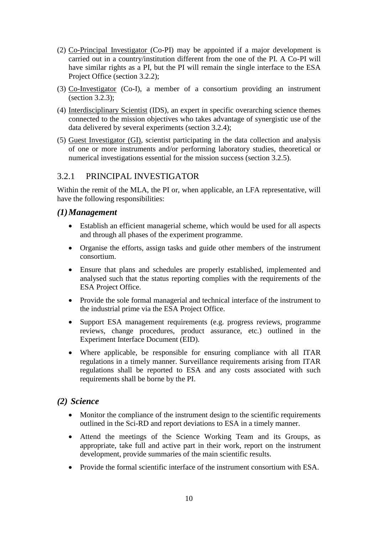- (2) Co-Principal Investigator (Co-PI) may be appointed if a major development is carried out in a country/institution different from the one of the PI. A Co-PI will have similar rights as a PI, but the PI will remain the single interface to the ESA Project Office (section [3.2.2\)](#page-11-0);
- (3) Co-Investigator (Co-I), a member of a consortium providing an instrument (section [3.2.3\)](#page-11-1);
- (4) Interdisciplinary Scientist (IDS), an expert in specific overarching science themes connected to the mission objectives who takes advantage of synergistic use of the data delivered by several experiments (section [3.2.4\)](#page-12-0);
- (5) Guest Investigator (GI), scientist participating in the data collection and analysis of one or more instruments and/or performing laboratory studies, theoretical or numerical investigations essential for the mission success (section [3.2.5\)](#page-12-1).

#### <span id="page-9-0"></span>3.2.1 PRINCIPAL INVESTIGATOR

Within the remit of the MLA, the PI or, when applicable, an LFA representative, will have the following responsibilities:

#### *(1)Management*

- Establish an efficient managerial scheme, which would be used for all aspects and through all phases of the experiment programme.
- Organise the efforts, assign tasks and guide other members of the instrument consortium.
- Ensure that plans and schedules are properly established, implemented and analysed such that the status reporting complies with the requirements of the ESA Project Office.
- Provide the sole formal managerial and technical interface of the instrument to the industrial prime via the ESA Project Office.
- Support ESA management requirements (e.g. progress reviews, programme reviews, change procedures, product assurance, etc.) outlined in the Experiment Interface Document (EID).
- Where applicable, be responsible for ensuring compliance with all ITAR regulations in a timely manner. Surveillance requirements arising from ITAR regulations shall be reported to ESA and any costs associated with such requirements shall be borne by the PI.

#### *(2) Science*

- Monitor the compliance of the instrument design to the scientific requirements outlined in the Sci-RD and report deviations to ESA in a timely manner.
- Attend the meetings of the Science Working Team and its Groups, as appropriate, take full and active part in their work, report on the instrument development, provide summaries of the main scientific results.
- Provide the formal scientific interface of the instrument consortium with ESA.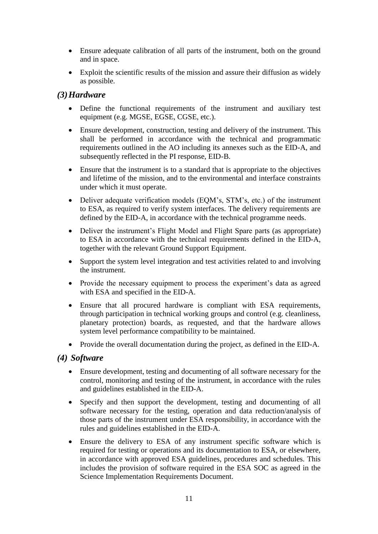- Ensure adequate calibration of all parts of the instrument, both on the ground and in space.
- Exploit the scientific results of the mission and assure their diffusion as widely as possible.

#### *(3)Hardware*

- Define the functional requirements of the instrument and auxiliary test equipment (e.g. MGSE, EGSE, CGSE, etc.).
- Ensure development, construction, testing and delivery of the instrument. This shall be performed in accordance with the technical and programmatic requirements outlined in the AO including its annexes such as the EID-A, and subsequently reflected in the PI response, EID-B.
- Ensure that the instrument is to a standard that is appropriate to the objectives and lifetime of the mission, and to the environmental and interface constraints under which it must operate.
- Deliver adequate verification models (EQM's, STM's, etc.) of the instrument to ESA, as required to verify system interfaces. The delivery requirements are defined by the EID-A, in accordance with the technical programme needs.
- Deliver the instrument's Flight Model and Flight Spare parts (as appropriate) to ESA in accordance with the technical requirements defined in the EID-A, together with the relevant Ground Support Equipment.
- Support the system level integration and test activities related to and involving the instrument.
- Provide the necessary equipment to process the experiment's data as agreed with ESA and specified in the EID-A.
- Ensure that all procured hardware is compliant with ESA requirements, through participation in technical working groups and control (e.g. cleanliness, planetary protection) boards, as requested, and that the hardware allows system level performance compatibility to be maintained.
- Provide the overall documentation during the project, as defined in the EID-A.

#### *(4) Software*

- Ensure development, testing and documenting of all software necessary for the control, monitoring and testing of the instrument, in accordance with the rules and guidelines established in the EID-A.
- Specify and then support the development, testing and documenting of all software necessary for the testing, operation and data reduction/analysis of those parts of the instrument under ESA responsibility, in accordance with the rules and guidelines established in the EID-A.
- Ensure the delivery to ESA of any instrument specific software which is required for testing or operations and its documentation to ESA, or elsewhere, in accordance with approved ESA guidelines, procedures and schedules. This includes the provision of software required in the ESA SOC as agreed in the Science Implementation Requirements Document.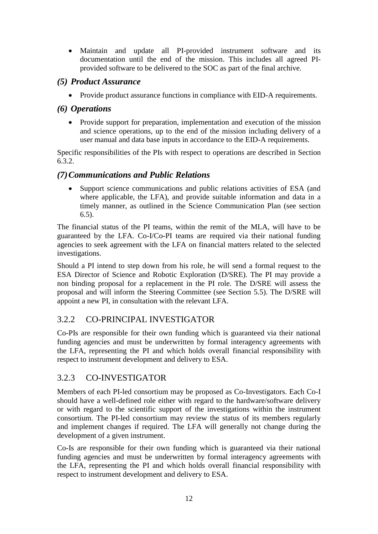Maintain and update all PI-provided instrument software and its documentation until the end of the mission. This includes all agreed PIprovided software to be delivered to the SOC as part of the final archive.

#### *(5) Product Assurance*

• Provide product assurance functions in compliance with EID-A requirements.

#### *(6) Operations*

• Provide support for preparation, implementation and execution of the mission and science operations, up to the end of the mission including delivery of a user manual and data base inputs in accordance to the EID-A requirements.

Specific responsibilities of the PIs with respect to operations are described in Section [6.3.](#page-20-3)2.

#### *(7)Communications and Public Relations*

 Support science communications and public relations activities of ESA (and where applicable, the LFA), and provide suitable information and data in a timely manner, as outlined in the Science Communication Plan (see section [6.5\)](#page-22-1).

The financial status of the PI teams, within the remit of the MLA, will have to be guaranteed by the LFA. Co-I/Co-PI teams are required via their national funding agencies to seek agreement with the LFA on financial matters related to the selected investigations.

Should a PI intend to step down from his role, he will send a formal request to the ESA Director of Science and Robotic Exploration (D/SRE). The PI may provide a non binding proposal for a replacement in the PI role. The D/SRE will assess the proposal and will inform the Steering Committee (see Section [5.5\)](#page-19-1). The D/SRE will appoint a new PI, in consultation with the relevant LFA.

### <span id="page-11-0"></span>3.2.2 CO-PRINCIPAL INVESTIGATOR

Co-PIs are responsible for their own funding which is guaranteed via their national funding agencies and must be underwritten by formal interagency agreements with the LFA, representing the PI and which holds overall financial responsibility with respect to instrument development and delivery to ESA.

#### <span id="page-11-1"></span>3.2.3 CO-INVESTIGATOR

Members of each PI-led consortium may be proposed as Co-Investigators. Each Co-I should have a well-defined role either with regard to the hardware/software delivery or with regard to the scientific support of the investigations within the instrument consortium. The PI-led consortium may review the status of its members regularly and implement changes if required. The LFA will generally not change during the development of a given instrument.

Co-Is are responsible for their own funding which is guaranteed via their national funding agencies and must be underwritten by formal interagency agreements with the LFA, representing the PI and which holds overall financial responsibility with respect to instrument development and delivery to ESA.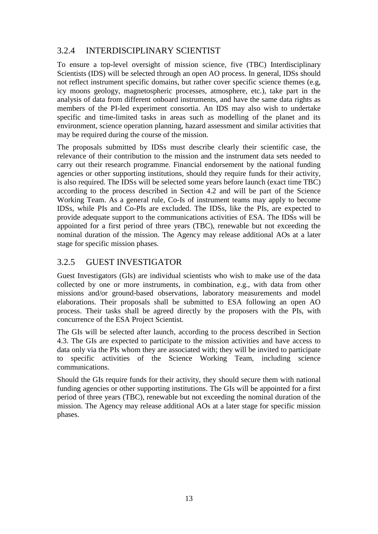### <span id="page-12-0"></span>3.2.4 INTERDISCIPLINARY SCIENTIST

To ensure a top-level oversight of mission science, five (TBC) Interdisciplinary Scientists (IDS) will be selected through an open AO process. In general, IDSs should not reflect instrument specific domains, but rather cover specific science themes (e.g, icy moons geology, magnetospheric processes, atmosphere, etc.), take part in the analysis of data from different onboard instruments, and have the same data rights as members of the PI-led experiment consortia. An IDS may also wish to undertake specific and time-limited tasks in areas such as modelling of the planet and its environment, science operation planning, hazard assessment and similar activities that may be required during the course of the mission.

The proposals submitted by IDSs must describe clearly their scientific case, the relevance of their contribution to the mission and the instrument data sets needed to carry out their research programme. Financial endorsement by the national funding agencies or other supporting institutions, should they require funds for their activity, is also required. The IDSs will be selected some years before launch (exact time TBC) according to the process described in Section [4.2](#page-16-0) and will be part of the Science Working Team. As a general rule, Co-Is of instrument teams may apply to become IDSs, while PIs and Co-PIs are excluded. The IDSs, like the PIs, are expected to provide adequate support to the communications activities of ESA. The IDSs will be appointed for a first period of three years (TBC), renewable but not exceeding the nominal duration of the mission. The Agency may release additional AOs at a later stage for specific mission phases.

### <span id="page-12-1"></span>3.2.5 GUEST INVESTIGATOR

Guest Investigators (GIs) are individual scientists who wish to make use of the data collected by one or more instruments, in combination, e.g., with data from other missions and/or ground-based observations, laboratory measurements and model elaborations. Their proposals shall be submitted to ESA following an open AO process. Their tasks shall be agreed directly by the proposers with the PIs, with concurrence of the ESA Project Scientist.

The GIs will be selected after launch, according to the process described in Section [4.3.](#page-17-0) The GIs are expected to participate to the mission activities and have access to data only via the PIs whom they are associated with; they will be invited to participate to specific activities of the Science Working Team, including science communications.

Should the GIs require funds for their activity, they should secure them with national funding agencies or other supporting institutions. The GIs will be appointed for a first period of three years (TBC), renewable but not exceeding the nominal duration of the mission. The Agency may release additional AOs at a later stage for specific mission phases.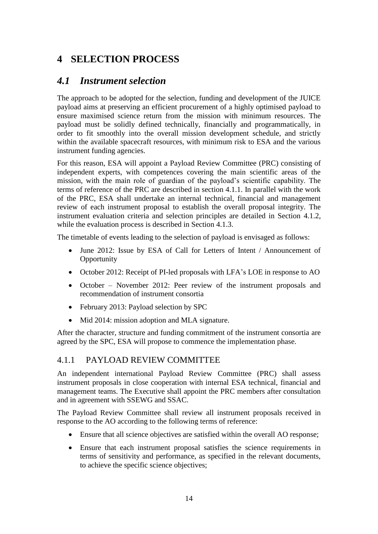# <span id="page-13-0"></span>**4 SELECTION PROCESS**

## <span id="page-13-1"></span>*4.1 Instrument selection*

The approach to be adopted for the selection, funding and development of the JUICE payload aims at preserving an efficient procurement of a highly optimised payload to ensure maximised science return from the mission with minimum resources. The payload must be solidly defined technically, financially and programmatically, in order to fit smoothly into the overall mission development schedule, and strictly within the available spacecraft resources, with minimum risk to ESA and the various instrument funding agencies.

For this reason, ESA will appoint a Payload Review Committee (PRC) consisting of independent experts, with competences covering the main scientific areas of the mission, with the main role of guardian of the payload's scientific capability. The terms of reference of the PRC are described in section [4.1.1.](#page-13-2) In parallel with the work of the PRC, ESA shall undertake an internal technical, financial and management review of each instrument proposal to establish the overall proposal integrity. The instrument evaluation criteria and selection principles are detailed in Section [4.1.2,](#page-14-0) while the evaluation process is described in Section [4.1.3.](#page-15-0)

The timetable of events leading to the selection of payload is envisaged as follows:

- June 2012: Issue by ESA of Call for Letters of Intent / Announcement of **Opportunity**
- October 2012: Receipt of PI-led proposals with LFA's LOE in response to AO
- October November 2012: Peer review of the instrument proposals and recommendation of instrument consortia
- February 2013: Payload selection by SPC
- Mid 2014: mission adoption and MLA signature.

After the character, structure and funding commitment of the instrument consortia are agreed by the SPC, ESA will propose to commence the implementation phase.

#### <span id="page-13-2"></span>4.1.1 PAYLOAD REVIEW COMMITTEE

An independent international Payload Review Committee (PRC) shall assess instrument proposals in close cooperation with internal ESA technical, financial and management teams. The Executive shall appoint the PRC members after consultation and in agreement with SSEWG and SSAC.

The Payload Review Committee shall review all instrument proposals received in response to the AO according to the following terms of reference:

- Ensure that all science objectives are satisfied within the overall AO response;
- Ensure that each instrument proposal satisfies the science requirements in terms of sensitivity and performance, as specified in the relevant documents, to achieve the specific science objectives;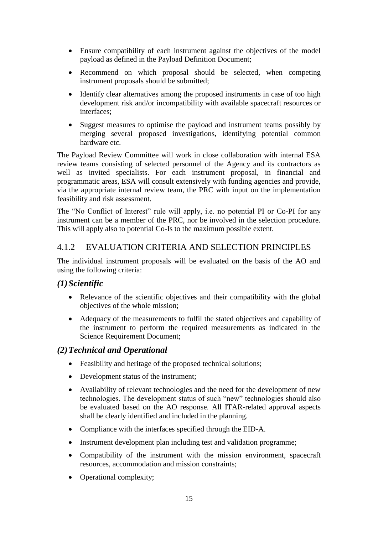- Ensure compatibility of each instrument against the objectives of the model payload as defined in the Payload Definition Document;
- Recommend on which proposal should be selected, when competing instrument proposals should be submitted;
- Identify clear alternatives among the proposed instruments in case of too high development risk and/or incompatibility with available spacecraft resources or interfaces;
- Suggest measures to optimise the payload and instrument teams possibly by merging several proposed investigations, identifying potential common hardware etc.

The Payload Review Committee will work in close collaboration with internal ESA review teams consisting of selected personnel of the Agency and its contractors as well as invited specialists. For each instrument proposal, in financial and programmatic areas, ESA will consult extensively with funding agencies and provide, via the appropriate internal review team, the PRC with input on the implementation feasibility and risk assessment.

The "No Conflict of Interest" rule will apply, i.e. no potential PI or Co-PI for any instrument can be a member of the PRC, nor be involved in the selection procedure. This will apply also to potential Co-Is to the maximum possible extent.

#### <span id="page-14-0"></span>4.1.2 EVALUATION CRITERIA AND SELECTION PRINCIPLES

The individual instrument proposals will be evaluated on the basis of the AO and using the following criteria:

#### *(1)Scientific*

- Relevance of the scientific objectives and their compatibility with the global objectives of the whole mission;
- Adequacy of the measurements to fulfil the stated objectives and capability of the instrument to perform the required measurements as indicated in the Science Requirement Document;

#### *(2)Technical and Operational*

- Feasibility and heritage of the proposed technical solutions;
- Development status of the instrument;
- Availability of relevant technologies and the need for the development of new technologies. The development status of such "new" technologies should also be evaluated based on the AO response. All ITAR-related approval aspects shall be clearly identified and included in the planning.
- Compliance with the interfaces specified through the EID-A.
- Instrument development plan including test and validation programme;
- Compatibility of the instrument with the mission environment, spacecraft resources, accommodation and mission constraints;
- Operational complexity;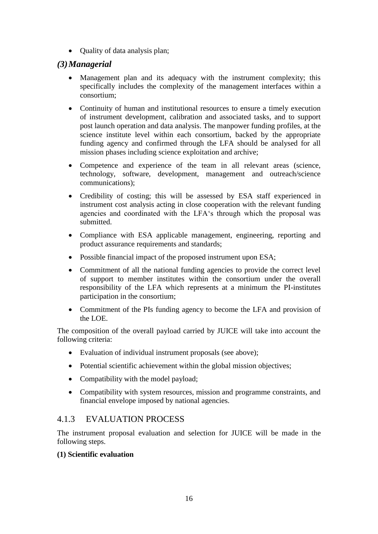• Quality of data analysis plan;

#### *(3)Managerial*

- Management plan and its adequacy with the instrument complexity; this specifically includes the complexity of the management interfaces within a consortium;
- Continuity of human and institutional resources to ensure a timely execution of instrument development, calibration and associated tasks, and to support post launch operation and data analysis. The manpower funding profiles, at the science institute level within each consortium, backed by the appropriate funding agency and confirmed through the LFA should be analysed for all mission phases including science exploitation and archive;
- Competence and experience of the team in all relevant areas (science, technology, software, development, management and outreach/science communications);
- Credibility of costing; this will be assessed by ESA staff experienced in instrument cost analysis acting in close cooperation with the relevant funding agencies and coordinated with the LFA's through which the proposal was submitted.
- Compliance with ESA applicable management, engineering, reporting and product assurance requirements and standards;
- Possible financial impact of the proposed instrument upon ESA;
- Commitment of all the national funding agencies to provide the correct level of support to member institutes within the consortium under the overall responsibility of the LFA which represents at a minimum the PI-institutes participation in the consortium;
- Commitment of the PIs funding agency to become the LFA and provision of the LOE.

The composition of the overall payload carried by JUICE will take into account the following criteria:

- Evaluation of individual instrument proposals (see above);
- Potential scientific achievement within the global mission objectives;
- Compatibility with the model payload;
- Compatibility with system resources, mission and programme constraints, and financial envelope imposed by national agencies.

#### <span id="page-15-0"></span>4.1.3 EVALUATION PROCESS

The instrument proposal evaluation and selection for JUICE will be made in the following steps.

#### **(1) Scientific evaluation**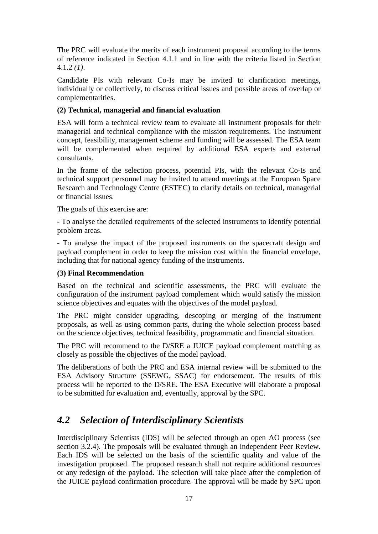The PRC will evaluate the merits of each instrument proposal according to the terms of reference indicated in Section [4.1.1](#page-13-2) and in line with the criteria listed in Section [4.1.2](#page-14-0) *(1)*.

Candidate PIs with relevant Co-Is may be invited to clarification meetings, individually or collectively, to discuss critical issues and possible areas of overlap or complementarities.

#### **(2) Technical, managerial and financial evaluation**

ESA will form a technical review team to evaluate all instrument proposals for their managerial and technical compliance with the mission requirements. The instrument concept, feasibility, management scheme and funding will be assessed. The ESA team will be complemented when required by additional ESA experts and external consultants.

In the frame of the selection process, potential PIs, with the relevant Co-Is and technical support personnel may be invited to attend meetings at the European Space Research and Technology Centre (ESTEC) to clarify details on technical, managerial or financial issues.

The goals of this exercise are:

- To analyse the detailed requirements of the selected instruments to identify potential problem areas.

- To analyse the impact of the proposed instruments on the spacecraft design and payload complement in order to keep the mission cost within the financial envelope, including that for national agency funding of the instruments.

#### **(3) Final Recommendation**

Based on the technical and scientific assessments, the PRC will evaluate the configuration of the instrument payload complement which would satisfy the mission science objectives and equates with the objectives of the model payload.

The PRC might consider upgrading, descoping or merging of the instrument proposals, as well as using common parts, during the whole selection process based on the science objectives, technical feasibility, programmatic and financial situation.

The PRC will recommend to the D/SRE a JUICE payload complement matching as closely as possible the objectives of the model payload.

The deliberations of both the PRC and ESA internal review will be submitted to the ESA Advisory Structure (SSEWG, SSAC) for endorsement. The results of this process will be reported to the D/SRE. The ESA Executive will elaborate a proposal to be submitted for evaluation and, eventually, approval by the SPC.

# <span id="page-16-0"></span>*4.2 Selection of Interdisciplinary Scientists*

Interdisciplinary Scientists (IDS) will be selected through an open AO process (see section [3.2.4\)](#page-12-0). The proposals will be evaluated through an independent Peer Review. Each IDS will be selected on the basis of the scientific quality and value of the investigation proposed. The proposed research shall not require additional resources or any redesign of the payload. The selection will take place after the completion of the JUICE payload confirmation procedure. The approval will be made by SPC upon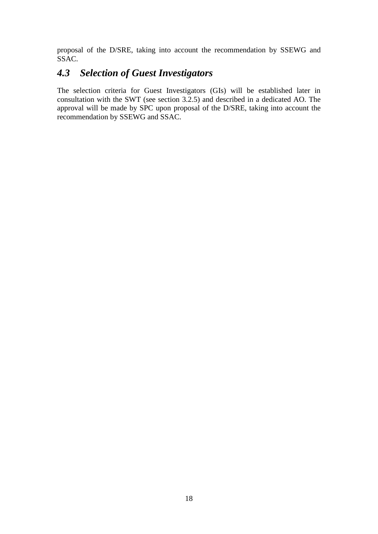proposal of the D/SRE, taking into account the recommendation by SSEWG and SSAC.

# <span id="page-17-0"></span>*4.3 Selection of Guest Investigators*

The selection criteria for Guest Investigators (GIs) will be established later in consultation with the SWT (see section [3.2.5\)](#page-12-1) and described in a dedicated AO. The approval will be made by SPC upon proposal of the D/SRE, taking into account the recommendation by SSEWG and SSAC.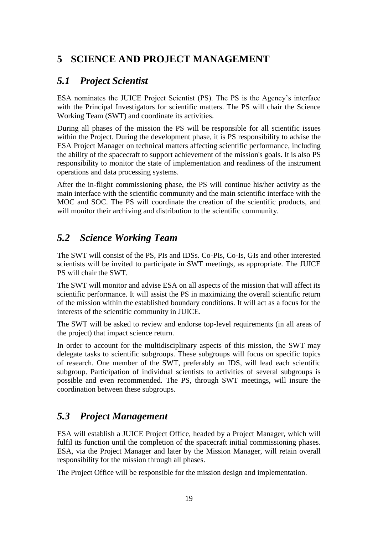# <span id="page-18-0"></span>**5 SCIENCE AND PROJECT MANAGEMENT**

# <span id="page-18-1"></span>*5.1 Project Scientist*

ESA nominates the JUICE Project Scientist (PS). The PS is the Agency's interface with the Principal Investigators for scientific matters. The PS will chair the Science Working Team (SWT) and coordinate its activities.

During all phases of the mission the PS will be responsible for all scientific issues within the Project. During the development phase, it is PS responsibility to advise the ESA Project Manager on technical matters affecting scientific performance, including the ability of the spacecraft to support achievement of the mission's goals. It is also PS responsibility to monitor the state of implementation and readiness of the instrument operations and data processing systems.

After the in-flight commissioning phase, the PS will continue his/her activity as the main interface with the scientific community and the main scientific interface with the MOC and SOC. The PS will coordinate the creation of the scientific products, and will monitor their archiving and distribution to the scientific community.

# <span id="page-18-2"></span>*5.2 Science Working Team*

The SWT will consist of the PS, PIs and IDSs. Co-PIs, Co-Is, GIs and other interested scientists will be invited to participate in SWT meetings, as appropriate. The JUICE PS will chair the SWT.

The SWT will monitor and advise ESA on all aspects of the mission that will affect its scientific performance. It will assist the PS in maximizing the overall scientific return of the mission within the established boundary conditions. It will act as a focus for the interests of the scientific community in JUICE.

The SWT will be asked to review and endorse top-level requirements (in all areas of the project) that impact science return.

In order to account for the multidisciplinary aspects of this mission, the SWT may delegate tasks to scientific subgroups. These subgroups will focus on specific topics of research. One member of the SWT, preferably an IDS, will lead each scientific subgroup. Participation of individual scientists to activities of several subgroups is possible and even recommended. The PS, through SWT meetings, will insure the coordination between these subgroups.

# <span id="page-18-3"></span>*5.3 Project Management*

ESA will establish a JUICE Project Office, headed by a Project Manager, which will fulfil its function until the completion of the spacecraft initial commissioning phases. ESA, via the Project Manager and later by the Mission Manager, will retain overall responsibility for the mission through all phases.

The Project Office will be responsible for the mission design and implementation.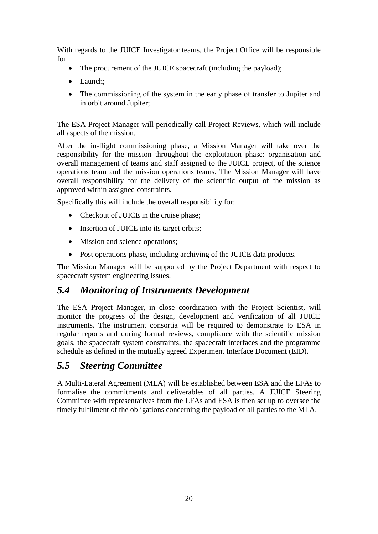With regards to the JUICE Investigator teams, the Project Office will be responsible for:

- The procurement of the JUICE spacecraft (including the payload);
- Launch:
- The commissioning of the system in the early phase of transfer to Jupiter and in orbit around Jupiter;

The ESA Project Manager will periodically call Project Reviews, which will include all aspects of the mission.

After the in-flight commissioning phase, a Mission Manager will take over the responsibility for the mission throughout the exploitation phase: organisation and overall management of teams and staff assigned to the JUICE project, of the science operations team and the mission operations teams. The Mission Manager will have overall responsibility for the delivery of the scientific output of the mission as approved within assigned constraints.

Specifically this will include the overall responsibility for:

- Checkout of JUICE in the cruise phase;
- Insertion of JUICE into its target orbits;
- Mission and science operations;
- Post operations phase, including archiving of the JUICE data products.

The Mission Manager will be supported by the Project Department with respect to spacecraft system engineering issues.

## <span id="page-19-0"></span>*5.4 Monitoring of Instruments Development*

The ESA Project Manager, in close coordination with the Project Scientist, will monitor the progress of the design, development and verification of all JUICE instruments. The instrument consortia will be required to demonstrate to ESA in regular reports and during formal reviews, compliance with the scientific mission goals, the spacecraft system constraints, the spacecraft interfaces and the programme schedule as defined in the mutually agreed Experiment Interface Document (EID).

## <span id="page-19-1"></span>*5.5 Steering Committee*

A Multi-Lateral Agreement (MLA) will be established between ESA and the LFAs to formalise the commitments and deliverables of all parties. A JUICE Steering Committee with representatives from the LFAs and ESA is then set up to oversee the timely fulfilment of the obligations concerning the payload of all parties to the MLA.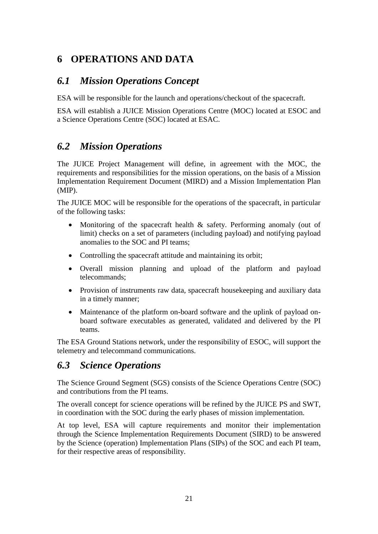# <span id="page-20-0"></span>**6 OPERATIONS AND DATA**

## <span id="page-20-1"></span>*6.1 Mission Operations Concept*

ESA will be responsible for the launch and operations/checkout of the spacecraft.

ESA will establish a JUICE Mission Operations Centre (MOC) located at ESOC and a Science Operations Centre (SOC) located at ESAC.

# <span id="page-20-2"></span>*6.2 Mission Operations*

The JUICE Project Management will define, in agreement with the MOC, the requirements and responsibilities for the mission operations, on the basis of a Mission Implementation Requirement Document (MIRD) and a Mission Implementation Plan (MIP).

The JUICE MOC will be responsible for the operations of the spacecraft, in particular of the following tasks:

- Monitoring of the spacecraft health & safety. Performing anomaly (out of limit) checks on a set of parameters (including payload) and notifying payload anomalies to the SOC and PI teams;
- Controlling the spacecraft attitude and maintaining its orbit;
- Overall mission planning and upload of the platform and payload telecommands;
- Provision of instruments raw data, spacecraft housekeeping and auxiliary data in a timely manner;
- Maintenance of the platform on-board software and the uplink of payload onboard software executables as generated, validated and delivered by the PI teams.

The ESA Ground Stations network, under the responsibility of ESOC, will support the telemetry and telecommand communications.

## <span id="page-20-3"></span>*6.3 Science Operations*

The Science Ground Segment (SGS) consists of the Science Operations Centre (SOC) and contributions from the PI teams.

The overall concept for science operations will be refined by the JUICE PS and SWT, in coordination with the SOC during the early phases of mission implementation.

At top level, ESA will capture requirements and monitor their implementation through the Science Implementation Requirements Document (SIRD) to be answered by the Science (operation) Implementation Plans (SIPs) of the SOC and each PI team, for their respective areas of responsibility.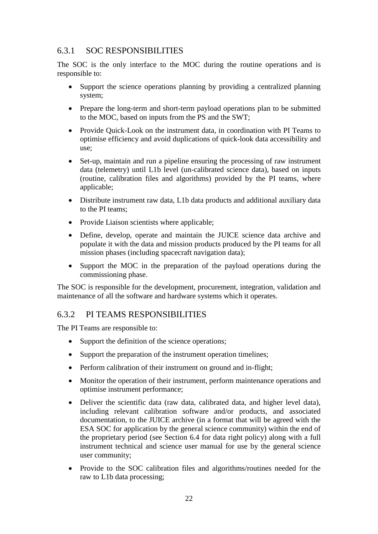### <span id="page-21-0"></span>6.3.1 SOC RESPONSIBILITIES

The SOC is the only interface to the MOC during the routine operations and is responsible to:

- Support the science operations planning by providing a centralized planning system;
- Prepare the long-term and short-term payload operations plan to be submitted to the MOC, based on inputs from the PS and the SWT;
- Provide Ouick-Look on the instrument data, in coordination with PI Teams to optimise efficiency and avoid duplications of quick-look data accessibility and use;
- Set-up, maintain and run a pipeline ensuring the processing of raw instrument data (telemetry) until L1b level (un-calibrated science data), based on inputs (routine, calibration files and algorithms) provided by the PI teams, where applicable;
- Distribute instrument raw data, L1b data products and additional auxiliary data to the PI teams;
- Provide Liaison scientists where applicable:
- Define, develop, operate and maintain the JUICE science data archive and populate it with the data and mission products produced by the PI teams for all mission phases (including spacecraft navigation data);
- Support the MOC in the preparation of the payload operations during the commissioning phase.

The SOC is responsible for the development, procurement, integration, validation and maintenance of all the software and hardware systems which it operates.

#### <span id="page-21-1"></span>6.3.2 PI TEAMS RESPONSIBILITIES

The PI Teams are responsible to:

- Support the definition of the science operations;
- Support the preparation of the instrument operation timelines;
- Perform calibration of their instrument on ground and in-flight;
- Monitor the operation of their instrument, perform maintenance operations and optimise instrument performance;
- Deliver the scientific data (raw data, calibrated data, and higher level data), including relevant calibration software and/or products, and associated documentation, to the JUICE archive (in a format that will be agreed with the ESA SOC for application by the general science community) within the end of the proprietary period (see Section [6.4](#page-22-0) for data right policy) along with a full instrument technical and science user manual for use by the general science user community;
- Provide to the SOC calibration files and algorithms/routines needed for the raw to L1b data processing;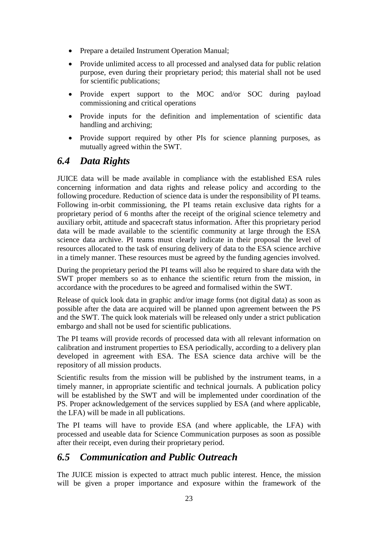- Prepare a detailed Instrument Operation Manual;
- Provide unlimited access to all processed and analysed data for public relation purpose, even during their proprietary period; this material shall not be used for scientific publications;
- Provide expert support to the MOC and/or SOC during payload commissioning and critical operations
- Provide inputs for the definition and implementation of scientific data handling and archiving;
- Provide support required by other PIs for science planning purposes, as mutually agreed within the SWT.

## <span id="page-22-0"></span>*6.4 Data Rights*

JUICE data will be made available in compliance with the established ESA rules concerning information and data rights and release policy and according to the following procedure. Reduction of science data is under the responsibility of PI teams. Following in-orbit commissioning, the PI teams retain exclusive data rights for a proprietary period of 6 months after the receipt of the original science telemetry and auxiliary orbit, attitude and spacecraft status information. After this proprietary period data will be made available to the scientific community at large through the ESA science data archive. PI teams must clearly indicate in their proposal the level of resources allocated to the task of ensuring delivery of data to the ESA science archive in a timely manner. These resources must be agreed by the funding agencies involved.

During the proprietary period the PI teams will also be required to share data with the SWT proper members so as to enhance the scientific return from the mission, in accordance with the procedures to be agreed and formalised within the SWT.

Release of quick look data in graphic and/or image forms (not digital data) as soon as possible after the data are acquired will be planned upon agreement between the PS and the SWT. The quick look materials will be released only under a strict publication embargo and shall not be used for scientific publications.

The PI teams will provide records of processed data with all relevant information on calibration and instrument properties to ESA periodically, according to a delivery plan developed in agreement with ESA. The ESA science data archive will be the repository of all mission products.

Scientific results from the mission will be published by the instrument teams, in a timely manner, in appropriate scientific and technical journals. A publication policy will be established by the SWT and will be implemented under coordination of the PS. Proper acknowledgement of the services supplied by ESA (and where applicable, the LFA) will be made in all publications.

The PI teams will have to provide ESA (and where applicable, the LFA) with processed and useable data for Science Communication purposes as soon as possible after their receipt, even during their proprietary period.

## <span id="page-22-1"></span>*6.5 Communication and Public Outreach*

The JUICE mission is expected to attract much public interest. Hence, the mission will be given a proper importance and exposure within the framework of the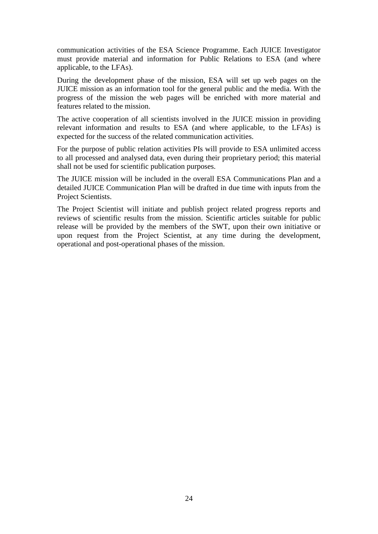communication activities of the ESA Science Programme. Each JUICE Investigator must provide material and information for Public Relations to ESA (and where applicable, to the LFAs).

During the development phase of the mission, ESA will set up web pages on the JUICE mission as an information tool for the general public and the media. With the progress of the mission the web pages will be enriched with more material and features related to the mission.

The active cooperation of all scientists involved in the JUICE mission in providing relevant information and results to ESA (and where applicable, to the LFAs) is expected for the success of the related communication activities.

For the purpose of public relation activities PIs will provide to ESA unlimited access to all processed and analysed data, even during their proprietary period; this material shall not be used for scientific publication purposes.

The JUICE mission will be included in the overall ESA Communications Plan and a detailed JUICE Communication Plan will be drafted in due time with inputs from the Project Scientists.

The Project Scientist will initiate and publish project related progress reports and reviews of scientific results from the mission. Scientific articles suitable for public release will be provided by the members of the SWT, upon their own initiative or upon request from the Project Scientist, at any time during the development, operational and post-operational phases of the mission.